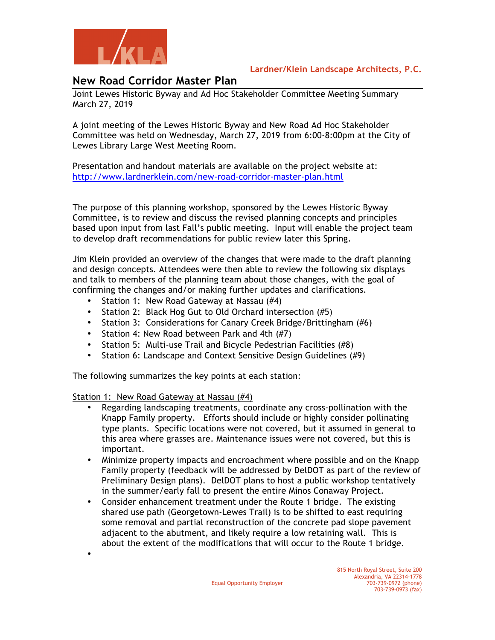

## **Lardner/Klein Landscape Architects, P.C.**

## **New Road Corridor Master Plan**

Joint Lewes Historic Byway and Ad Hoc Stakeholder Committee Meeting Summary March 27, 2019

A joint meeting of the Lewes Historic Byway and New Road Ad Hoc Stakeholder Committee was held on Wednesday, March 27, 2019 from 6:00-8:00pm at the City of Lewes Library Large West Meeting Room.

Presentation and handout materials are available on the project website at: http://www.lardnerklein.com/new-road-corridor-master-plan.html

The purpose of this planning workshop, sponsored by the Lewes Historic Byway Committee, is to review and discuss the revised planning concepts and principles based upon input from last Fall's public meeting. Input will enable the project team to develop draft recommendations for public review later this Spring.

Jim Klein provided an overview of the changes that were made to the draft planning and design concepts. Attendees were then able to review the following six displays and talk to members of the planning team about those changes, with the goal of confirming the changes and/or making further updates and clarifications.

- Station 1: New Road Gateway at Nassau (#4)
- Station 2: Black Hog Gut to Old Orchard intersection (#5)
- Station 3: Considerations for Canary Creek Bridge/Brittingham (#6)
- Station 4: New Road between Park and 4th (#7)
- Station 5: Multi-use Trail and Bicycle Pedestrian Facilities (#8)
- Station 6: Landscape and Context Sensitive Design Guidelines (#9)

The following summarizes the key points at each station:

Station 1: New Road Gateway at Nassau (#4)

•

- Regarding landscaping treatments, coordinate any cross-pollination with the Knapp Family property. Efforts should include or highly consider pollinating type plants. Specific locations were not covered, but it assumed in general to this area where grasses are. Maintenance issues were not covered, but this is important.
- Minimize property impacts and encroachment where possible and on the Knapp Family property (feedback will be addressed by DelDOT as part of the review of Preliminary Design plans). DelDOT plans to host a public workshop tentatively in the summer/early fall to present the entire Minos Conaway Project.
- Consider enhancement treatment under the Route 1 bridge. The existing shared use path (Georgetown-Lewes Trail) is to be shifted to east requiring some removal and partial reconstruction of the concrete pad slope pavement adjacent to the abutment, and likely require a low retaining wall. This is about the extent of the modifications that will occur to the Route 1 bridge.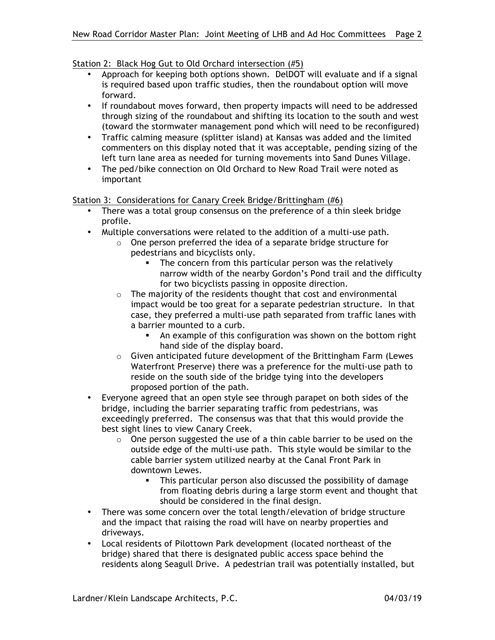## Station 2: Black Hog Gut to Old Orchard intersection (#5)

- Approach for keeping both options shown. DelDOT will evaluate and if a signal is required based upon traffic studies, then the roundabout option will move forward.
- If roundabout moves forward, then property impacts will need to be addressed through sizing of the roundabout and shifting its location to the south and west (toward the stormwater management pond which will need to be reconfigured)
- Traffic calming measure (splitter island) at Kansas was added and the limited commenters on this display noted that it was acceptable, pending sizing of the left turn lane area as needed for turning movements into Sand Dunes Village.
- The ped/bike connection on Old Orchard to New Road Trail were noted as important

## Station 3: Considerations for Canary Creek Bridge/Brittingham (#6)

- There was a total group consensus on the preference of a thin sleek bridge profile.
- Multiple conversations were related to the addition of a multi-use path.
	- o One person preferred the idea of a separate bridge structure for pedestrians and bicyclists only.
		- **The concern from this particular person was the relatively** narrow width of the nearby Gordon's Pond trail and the difficulty for two bicyclists passing in opposite direction.
	- $\circ$  The majority of the residents thought that cost and environmental impact would be too great for a separate pedestrian structure. In that case, they preferred a multi-use path separated from traffic lanes with a barrier mounted to a curb.
		- ! An example of this configuration was shown on the bottom right hand side of the display board.
	- o Given anticipated future development of the Brittingham Farm (Lewes Waterfront Preserve) there was a preference for the multi-use path to reside on the south side of the bridge tying into the developers proposed portion of the path.
- Everyone agreed that an open style see through parapet on both sides of the bridge, including the barrier separating traffic from pedestrians, was exceedingly preferred. The consensus was that that this would provide the best sight lines to view Canary Creek.
	- o One person suggested the use of a thin cable barrier to be used on the outside edge of the multi-use path. This style would be similar to the cable barrier system utilized nearby at the Canal Front Park in downtown Lewes.
		- ! This particular person also discussed the possibility of damage from floating debris during a large storm event and thought that should be considered in the final design.
- There was some concern over the total length/elevation of bridge structure and the impact that raising the road will have on nearby properties and driveways.
- Local residents of Pilottown Park development (located northeast of the bridge) shared that there is designated public access space behind the residents along Seagull Drive. A pedestrian trail was potentially installed, but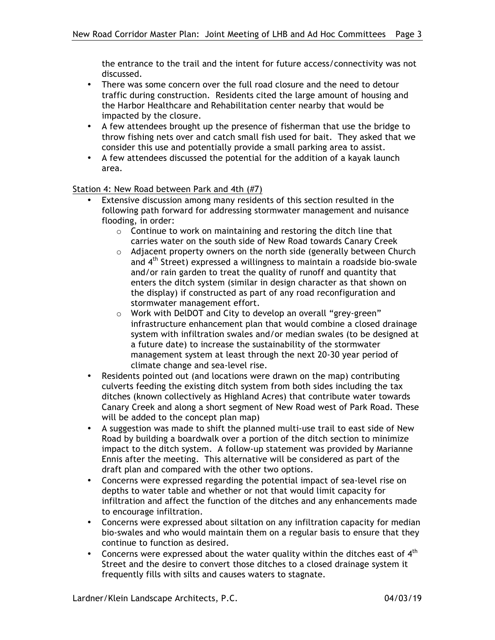the entrance to the trail and the intent for future access/connectivity was not discussed.

- There was some concern over the full road closure and the need to detour traffic during construction. Residents cited the large amount of housing and the Harbor Healthcare and Rehabilitation center nearby that would be impacted by the closure.
- A few attendees brought up the presence of fisherman that use the bridge to throw fishing nets over and catch small fish used for bait. They asked that we consider this use and potentially provide a small parking area to assist.
- A few attendees discussed the potential for the addition of a kayak launch area.

Station 4: New Road between Park and 4th (#7)

- Extensive discussion among many residents of this section resulted in the following path forward for addressing stormwater management and nuisance flooding, in order:
	- o Continue to work on maintaining and restoring the ditch line that carries water on the south side of New Road towards Canary Creek
	- o Adjacent property owners on the north side (generally between Church and 4th Street) expressed a willingness to maintain a roadside bio-swale and/or rain garden to treat the quality of runoff and quantity that enters the ditch system (similar in design character as that shown on the display) if constructed as part of any road reconfiguration and stormwater management effort.
	- o Work with DelDOT and City to develop an overall "grey-green" infrastructure enhancement plan that would combine a closed drainage system with infiltration swales and/or median swales (to be designed at a future date) to increase the sustainability of the stormwater management system at least through the next 20-30 year period of climate change and sea-level rise.
- Residents pointed out (and locations were drawn on the map) contributing culverts feeding the existing ditch system from both sides including the tax ditches (known collectively as Highland Acres) that contribute water towards Canary Creek and along a short segment of New Road west of Park Road. These will be added to the concept plan map)
- A suggestion was made to shift the planned multi-use trail to east side of New Road by building a boardwalk over a portion of the ditch section to minimize impact to the ditch system. A follow-up statement was provided by Marianne Ennis after the meeting. This alternative will be considered as part of the draft plan and compared with the other two options.
- Concerns were expressed regarding the potential impact of sea-level rise on depths to water table and whether or not that would limit capacity for infiltration and affect the function of the ditches and any enhancements made to encourage infiltration.
- Concerns were expressed about siltation on any infiltration capacity for median bio-swales and who would maintain them on a regular basis to ensure that they continue to function as desired.
- Concerns were expressed about the water quality within the ditches east of  $4<sup>th</sup>$ Street and the desire to convert those ditches to a closed drainage system it frequently fills with silts and causes waters to stagnate.